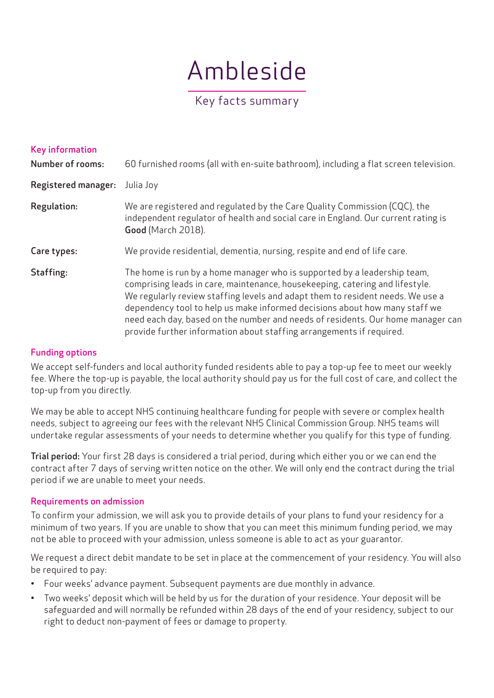# Ambleside

## Key facts summary

| <b>Key information</b><br><b>Number of rooms:</b> | 60 furnished rooms (all with en-suite bathroom), including a flat screen television.                                                                                                                                                                                                                                                                                                                                                                                                |
|---------------------------------------------------|-------------------------------------------------------------------------------------------------------------------------------------------------------------------------------------------------------------------------------------------------------------------------------------------------------------------------------------------------------------------------------------------------------------------------------------------------------------------------------------|
| <b>Registered manager:</b>                        | Julia Joy                                                                                                                                                                                                                                                                                                                                                                                                                                                                           |
| Regulation:                                       | We are registered and regulated by the Care Quality Commission (CQC), the<br>independent regulator of health and social care in England. Our current rating is<br>Good (March 2018).                                                                                                                                                                                                                                                                                                |
| Care types:                                       | We provide residential, dementia, nursing, respite and end of life care.                                                                                                                                                                                                                                                                                                                                                                                                            |
| Staffing:                                         | The home is run by a home manager who is supported by a leadership team,<br>comprising leads in care, maintenance, housekeeping, catering and lifestyle.<br>We regularly review staffing levels and adapt them to resident needs. We use a<br>dependency tool to help us make informed decisions about how many staff we<br>need each day, based on the number and needs of residents. Our home manager can<br>provide further information about staffing arrangements if required. |

#### Funding options

We accept self-funders and local authority funded residents able to pay a top-up fee to meet our weekly fee. Where the top-up is payable, the local authority should pay us for the full cost of care, and collect the top-up from you directly.

We may be able to accept NHS continuing healthcare funding for people with severe or complex health needs, subject to agreeing our fees with the relevant NHS Clinical Commission Group. NHS teams will undertake regular assessments of your needs to determine whether you qualify for this type of funding.

Trial period: Your first 28 days is considered a trial period, during which either you or we can end the contract after 7 days of serving written notice on the other. We will only end the contract during the trial period if we are unable to meet your needs.

#### Requirements on admission

To confirm your admission, we will ask you to provide details of your plans to fund your residency for a minimum of two years. If you are unable to show that you can meet this minimum funding period, we may not be able to proceed with your admission, unless someone is able to act as your guarantor.

We request a direct debit mandate to be set in place at the commencement of your residency. You will also be required to pay:

- Four weeks' advance payment. Subsequent payments are due monthly in advance.
- Two weeks' deposit which will be held by us for the duration of your residence. Your deposit will be safeguarded and will normally be refunded within 28 days of the end of your residency, subject to our right to deduct non-payment of fees or damage to property.